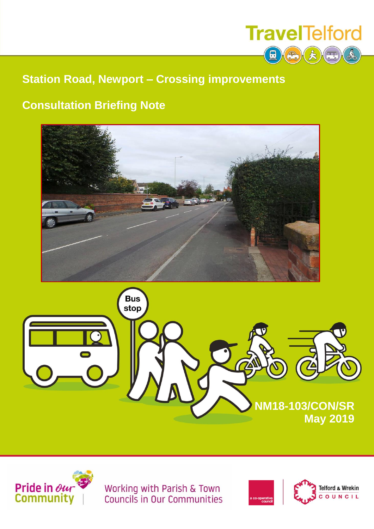

### **Station Road, Newport – Crossing improvements**

## **Consultation Briefing Note**







Working with Parish & Town<br>Councils in Our Communities

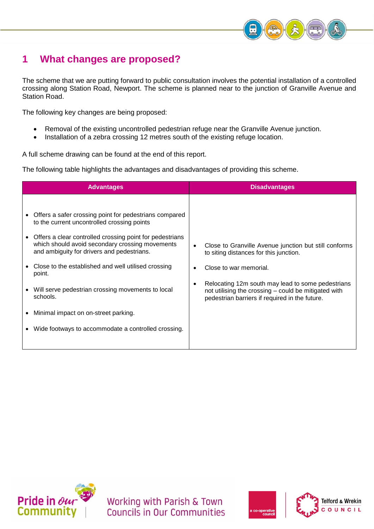

### **1 What changes are proposed?**

The scheme that we are putting forward to public consultation involves the potential installation of a controlled crossing along Station Road, Newport. The scheme is planned near to the junction of Granville Avenue and Station Road.

The following key changes are being proposed:

- Removal of the existing uncontrolled pedestrian refuge near the Granville Avenue junction.
- Installation of a zebra crossing 12 metres south of the existing refuge location.

A full scheme drawing can be found at the end of this report.

The following table highlights the advantages and disadvantages of providing this scheme.

| <b>Advantages</b>                                                                                                                                                                                                                                                                                                                                                                                                                                                                                                | <b>Disadvantages</b>                                                                                                                                                                                                                                                                     |
|------------------------------------------------------------------------------------------------------------------------------------------------------------------------------------------------------------------------------------------------------------------------------------------------------------------------------------------------------------------------------------------------------------------------------------------------------------------------------------------------------------------|------------------------------------------------------------------------------------------------------------------------------------------------------------------------------------------------------------------------------------------------------------------------------------------|
| Offers a safer crossing point for pedestrians compared<br>to the current uncontrolled crossing points<br>Offers a clear controlled crossing point for pedestrians<br>$\bullet$<br>which should avoid secondary crossing movements<br>and ambiguity for drivers and pedestrians.<br>Close to the established and well utilised crossing<br>point.<br>Will serve pedestrian crossing movements to local<br>schools.<br>Minimal impact on on-street parking.<br>Wide footways to accommodate a controlled crossing. | Close to Granville Avenue junction but still conforms<br>to siting distances for this junction.<br>Close to war memorial.<br>Relocating 12m south may lead to some pedestrians<br>not utilising the crossing - could be mitigated with<br>pedestrian barriers if required in the future. |
|                                                                                                                                                                                                                                                                                                                                                                                                                                                                                                                  |                                                                                                                                                                                                                                                                                          |



Working with Parish & Town **Councils in Our Communities** 



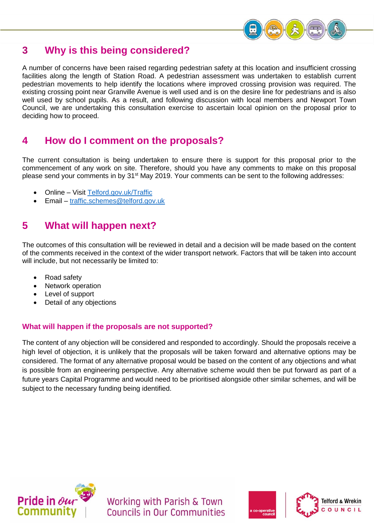

### **3 Why is this being considered?**

A number of concerns have been raised regarding pedestrian safety at this location and insufficient crossing facilities along the length of Station Road. A pedestrian assessment was undertaken to establish current pedestrian movements to help identify the locations where improved crossing provision was required. The existing crossing point near Granville Avenue is well used and is on the desire line for pedestrians and is also well used by school pupils. As a result, and following discussion with local members and Newport Town Council, we are undertaking this consultation exercise to ascertain local opinion on the proposal prior to deciding how to proceed.

#### **4 How do I comment on the proposals?**

The current consultation is being undertaken to ensure there is support for this proposal prior to the commencement of any work on site. Therefore, should you have any comments to make on this proposal please send your comments in by 31<sup>st</sup> May 2019. Your comments can be sent to the following addresses:

- Online Visit [Telford.gov.uk/Traffic](http://www.telford.gov.uk/Traffic)
- Email [traffic.schemes@telford.gov.uk](mailto:traffic.schemes@telford.gov.uk)

#### **5 What will happen next?**

The outcomes of this consultation will be reviewed in detail and a decision will be made based on the content of the comments received in the context of the wider transport network. Factors that will be taken into account will include, but not necessarily be limited to:

- Road safety
- Network operation
- Level of support
- Detail of any objections

#### **What will happen if the proposals are not supported?**

The content of any objection will be considered and responded to accordingly. Should the proposals receive a high level of objection, it is unlikely that the proposals will be taken forward and alternative options may be considered. The format of any alternative proposal would be based on the content of any objections and what is possible from an engineering perspective. Any alternative scheme would then be put forward as part of a future years Capital Programme and would need to be prioritised alongside other similar schemes, and will be subject to the necessary funding being identified.



Working with Parish & Town Councils in Our Communities



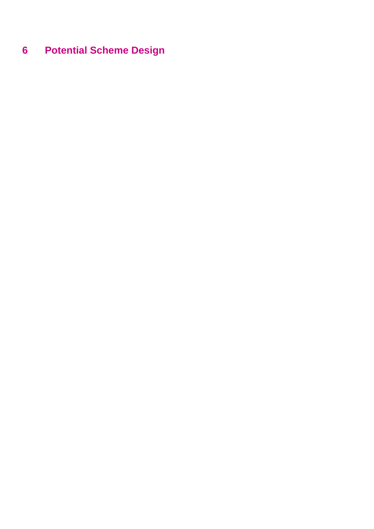# **Potential Scheme Design**